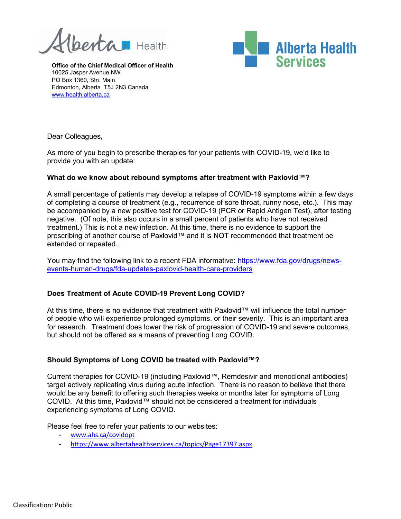**Pertal** Health



Office of the Chief Medical Officer of Health 10025 Jasper Avenue NW PO Box 1360, Stn. Main Edmonton, Alberta T5J 2N3 Canada www.health.alberta.ca

Dear Colleagues,

As more of you begin to prescribe therapies for your patients with COVID-19, we'd like to provide you with an update:

## What do we know about rebound symptoms after treatment with Paxlovid™?

A small percentage of patients may develop a relapse of COVID-19 symptoms within a few days of completing a course of treatment (e.g., recurrence of sore throat, runny nose, etc.). This may be accompanied by a new positive test for COVID-19 (PCR or Rapid Antigen Test), after testing negative. (Of note, this also occurs in a small percent of patients who have not received treatment.) This is not a new infection. At this time, there is no evidence to support the prescribing of another course of Paxlovid™ and it is NOT recommended that treatment be extended or repeated.

You may find the following link to a recent FDA informative: https://www.fda.gov/drugs/newsevents-human-drugs/fda-updates-paxlovid-health-care-providers

## Does Treatment of Acute COVID-19 Prevent Long COVID?

At this time, there is no evidence that treatment with Paxlovid™ will influence the total number of people who will experience prolonged symptoms, or their severity. This is an important area for research. Treatment does lower the risk of progression of COVID-19 and severe outcomes, but should not be offered as a means of preventing Long COVID.

## Should Symptoms of Long COVID be treated with Paxlovid™?

Current therapies for COVID-19 (including Paxlovid™, Remdesivir and monoclonal antibodies) target actively replicating virus during acute infection. There is no reason to believe that there would be any benefit to offering such therapies weeks or months later for symptoms of Long COVID. At this time, Paxlovid™ should not be considered a treatment for individuals experiencing symptoms of Long COVID.

Please feel free to refer your patients to our websites:

- www.ahs.ca/covidopt
- https://www.albertahealthservices.ca/topics/Page17397.aspx